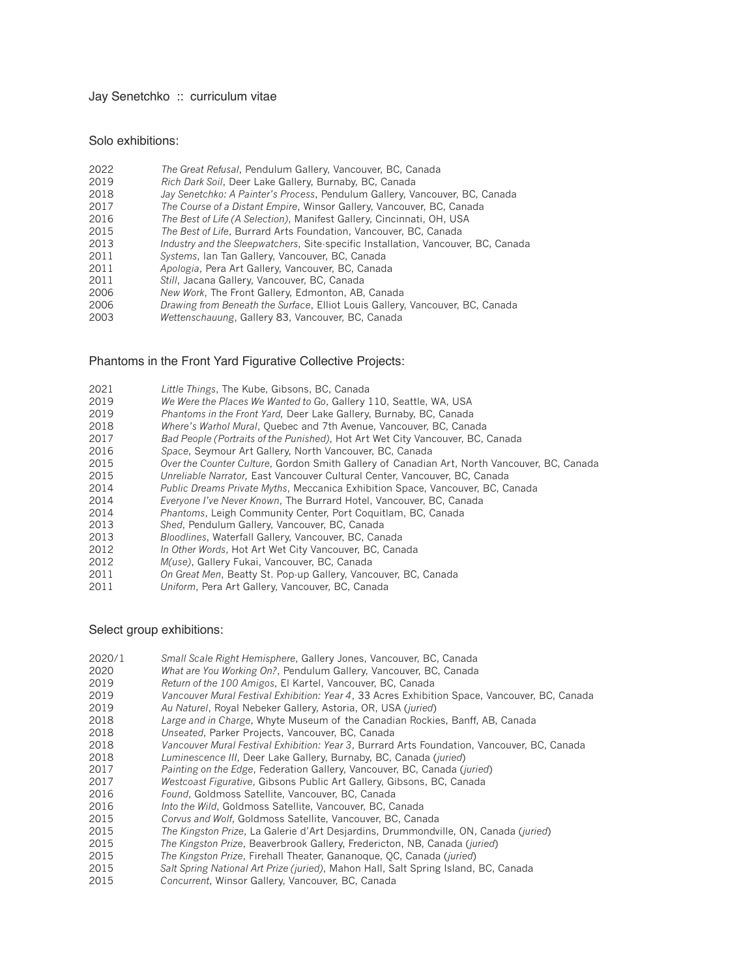#### Jay Senetchko :: curriculum vitae

### Solo exhibitions:

- *Rich Dark Soil*, Deer Lake Gallery, Burnaby, BC, Canada
- *Jay Senetchko: A Painter's Process*, Pendulum Gallery, Vancouver, BC, Canada
- *The Course of a Distant Empire*, Winsor Gallery, Vancouver, BC, Canada
- *The Best of Life (A Selection)*, Manifest Gallery, Cincinnati, OH, USA
- *The Best of Life*, Burrard Arts Foundation, Vancouver, BC, Canada
- *Industry and the Sleepwatchers*, Site-specific Installation, Vancouver, BC, Canada
- *Systems*, Ian Tan Gallery, Vancouver, BC, Canada
- *Apologia*, Pera Art Gallery, Vancouver, BC, Canada
- *Still*, Jacana Gallery, Vancouver, BC, Canada
- *New Work*, The Front Gallery, Edmonton, AB, Canada
- *Drawing from Beneath the Surface*, Elliot Louis Gallery, Vancouver, BC, Canada
- *Wettenschauung*, Gallery 83, Vancouver, BC, Canada

## Phantoms in the Front Yard Figurative Collective Projects:

- *Little Things*, The Kube, Gibsons, BC, Canada
- *We Were the Places We Wanted to Go*, Gallery 110, Seattle, WA, USA
- *Phantoms in the Front Yard,* Deer Lake Gallery, Burnaby, BC, Canada
- *Where's Warhol Mural*, Quebec and 7th Avenue, Vancouver, BC, Canada
- *Bad People (Portraits of the Punished)*, Hot Art Wet City Vancouver, BC, Canada
- *Space*, Seymour Art Gallery, North Vancouver, BC, Canada
- *Over the Counter Culture*, Gordon Smith Gallery of Canadian Art, North Vancouver, BC, Canada
- *Unreliable Narrator,* East Vancouver Cultural Center, Vancouver, BC, Canada
- *Public Dreams Private Myths*, Meccanica Exhibition Space, Vancouver, BC, Canada
- *Everyone I've Never Known*, The Burrard Hotel, Vancouver, BC, Canada
- *Phantoms*, Leigh Community Center, Port Coquitlam, BC, Canada
- *Shed*, Pendulum Gallery, Vancouver, BC, Canada
- *Bloodlines*, Waterfall Gallery, Vancouver, BC, Canada
- *In Other Words*, Hot Art Wet City Vancouver, BC, Canada
- *M(use)*, Gallery Fukai, Vancouver, BC, Canada
- *On Great Men*, Beatty St. Pop-up Gallery, Vancouver, BC, Canada
- *Uniform*, Pera Art Gallery, Vancouver, BC, Canada

## Select group exhibitions:

- 2020/1 *Small Scale Right Hemisphere*, Gallery Jones, Vancouver, BC, Canada
- *What are You Working On?*, Pendulum Gallery, Vancouver, BC, Canada
- *Return of the 100 Amigos*, El Kartel, Vancouver, BC, Canada
- *Vancouver Mural Festival Exhibition: Year 4*, 33 Acres Exhibition Space, Vancouver, BC, Canada
- *Au Naturel*, Royal Nebeker Gallery, Astoria, OR, USA (*juried*)
- *Large and in Charge*, Whyte Museum of the Canadian Rockies, Banff, AB, Canada
- *Unseated*, Parker Projects, Vancouver, BC, Canada
- *Vancouver Mural Festival Exhibition: Year 3*, Burrard Arts Foundation, Vancouver, BC, Canada
- *Luminescence III*, Deer Lake Gallery, Burnaby, BC, Canada (*juried*)
- *Painting on the Edge*, Federation Gallery, Vancouver, BC, Canada (*juried*)
- *Westcoast Figurative*, Gibsons Public Art Gallery, Gibsons, BC, Canada
- *Found*, Goldmoss Satellite, Vancouver, BC, Canada
- *Into the Wild*, Goldmoss Satellite, Vancouver, BC, Canada
- *Corvus and Wolf*, Goldmoss Satellite, Vancouver, BC, Canada
- *The Kingston Prize*, La Galerie d'Art Desjardins, Drummondville, ON, Canada (*juried*)
- *The Kingston Prize*, Beaverbrook Gallery, Fredericton, NB, Canada (*juried*)
- *The Kingston Prize*, Firehall Theater, Gananoque, QC, Canada (*juried*)
- Salt Spring National Art Prize (juried), Mahon Hall, Salt Spring Island, BC, Canada
- *Concurrent*, Winsor Gallery, Vancouver, BC, Canada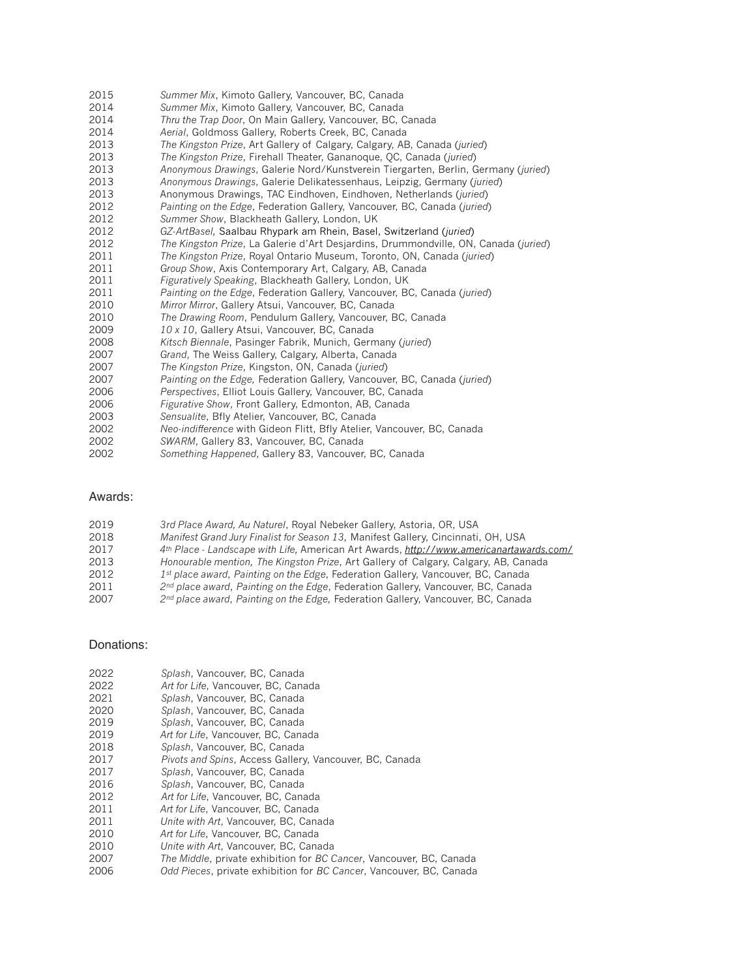| 2015 | Summer Mix, Kimoto Gallery, Vancouver, BC, Canada                                   |
|------|-------------------------------------------------------------------------------------|
| 2014 | Summer Mix, Kimoto Gallery, Vancouver, BC, Canada                                   |
| 2014 | Thru the Trap Door, On Main Gallery, Vancouver, BC, Canada                          |
| 2014 | Aerial, Goldmoss Gallery, Roberts Creek, BC, Canada                                 |
| 2013 | The Kingston Prize, Art Gallery of Calgary, Calgary, AB, Canada (juried)            |
| 2013 | The Kingston Prize, Firehall Theater, Gananoque, QC, Canada (juried)                |
| 2013 | Anonymous Drawings, Galerie Nord/Kunstverein Tiergarten, Berlin, Germany (juried)   |
| 2013 | Anonymous Drawings, Galerie Delikatessenhaus, Leipzig, Germany (juried)             |
| 2013 | Anonymous Drawings, TAC Eindhoven, Eindhoven, Netherlands (juried)                  |
| 2012 | Painting on the Edge, Federation Gallery, Vancouver, BC, Canada (juried)            |
| 2012 | Summer Show, Blackheath Gallery, London, UK                                         |
| 2012 | GZ-ArtBasel, Saalbau Rhypark am Rhein, Basel, Switzerland (juried)                  |
| 2012 | The Kingston Prize, La Galerie d'Art Desjardins, Drummondville, ON, Canada (juried) |
| 2011 | The Kingston Prize, Royal Ontario Museum, Toronto, ON, Canada (juried)              |
| 2011 | Group Show, Axis Contemporary Art, Calgary, AB, Canada                              |
| 2011 | Figuratively Speaking, Blackheath Gallery, London, UK                               |
| 2011 | Painting on the Edge, Federation Gallery, Vancouver, BC, Canada (juried)            |
| 2010 | Mirror Mirror, Gallery Atsui, Vancouver, BC, Canada                                 |
| 2010 | The Drawing Room, Pendulum Gallery, Vancouver, BC, Canada                           |
| 2009 | 10 x 10, Gallery Atsui, Vancouver, BC, Canada                                       |
| 2008 | Kitsch Biennale, Pasinger Fabrik, Munich, Germany (juried)                          |
| 2007 | Grand, The Weiss Gallery, Calgary, Alberta, Canada                                  |
| 2007 | The Kingston Prize, Kingston, ON, Canada (juried)                                   |
| 2007 | Painting on the Edge, Federation Gallery, Vancouver, BC, Canada (juried)            |
| 2006 | Perspectives, Elliot Louis Gallery, Vancouver, BC, Canada                           |
| 2006 | Figurative Show, Front Gallery, Edmonton, AB, Canada                                |
| 2003 | Sensualite, Bfly Atelier, Vancouver, BC, Canada                                     |
| 2002 | Neo-indifference with Gideon Flitt, Bfly Atelier, Vancouver, BC, Canada             |
| 2002 | SWARM, Gallery 83, Vancouver, BC, Canada                                            |
|      |                                                                                     |

*Something Happened*, Gallery 83, Vancouver, BC, Canada

# Awards:

| Manifest Grand Jury Finalist for Season 13, Manifest Gallery, Cincinnati, OH, USA<br>2018            |  |
|------------------------------------------------------------------------------------------------------|--|
|                                                                                                      |  |
| 4th Place - Landscape with Life, American Art Awards, http://www.americanartawards.com/<br>2017      |  |
| 2013<br>Honourable mention, The Kingston Prize, Art Gallery of Calgary, Calgary, AB, Canada          |  |
| 2012<br>$1st$ place award, Painting on the Edge, Federation Gallery, Vancouver, BC, Canada           |  |
| 2 <sup>nd</sup> place award, Painting on the Edge, Federation Gallery, Vancouver, BC, Canada<br>2011 |  |
| 2007<br>2 <sup>nd</sup> place award, Painting on the Edge, Federation Gallery, Vancouver, BC, Canada |  |

# Donations:

| 2022 | Splash, Vancouver, BC, Canada                                       |
|------|---------------------------------------------------------------------|
| 2022 | Art for Life, Vancouver, BC, Canada                                 |
| 2021 | Splash, Vancouver, BC, Canada                                       |
| 2020 | Splash, Vancouver, BC, Canada                                       |
| 2019 | Splash, Vancouver, BC, Canada                                       |
| 2019 | Art for Life, Vancouver, BC, Canada                                 |
| 2018 | Splash, Vancouver, BC, Canada                                       |
| 2017 | Pivots and Spins, Access Gallery, Vancouver, BC, Canada             |
| 2017 | Splash, Vancouver, BC, Canada                                       |
| 2016 | Splash, Vancouver, BC, Canada                                       |
| 2012 | Art for Life, Vancouver, BC, Canada                                 |
| 2011 | Art for Life, Vancouver, BC, Canada                                 |
| 2011 | Unite with Art, Vancouver, BC, Canada                               |
| 2010 | Art for Life, Vancouver, BC, Canada                                 |
| 2010 | Unite with Art, Vancouver, BC, Canada                               |
| 2007 | The Middle, private exhibition for BC Cancer, Vancouver, BC, Canada |
| 2006 | Odd Pieces, private exhibition for BC Cancer, Vancouver, BC, Canada |
|      |                                                                     |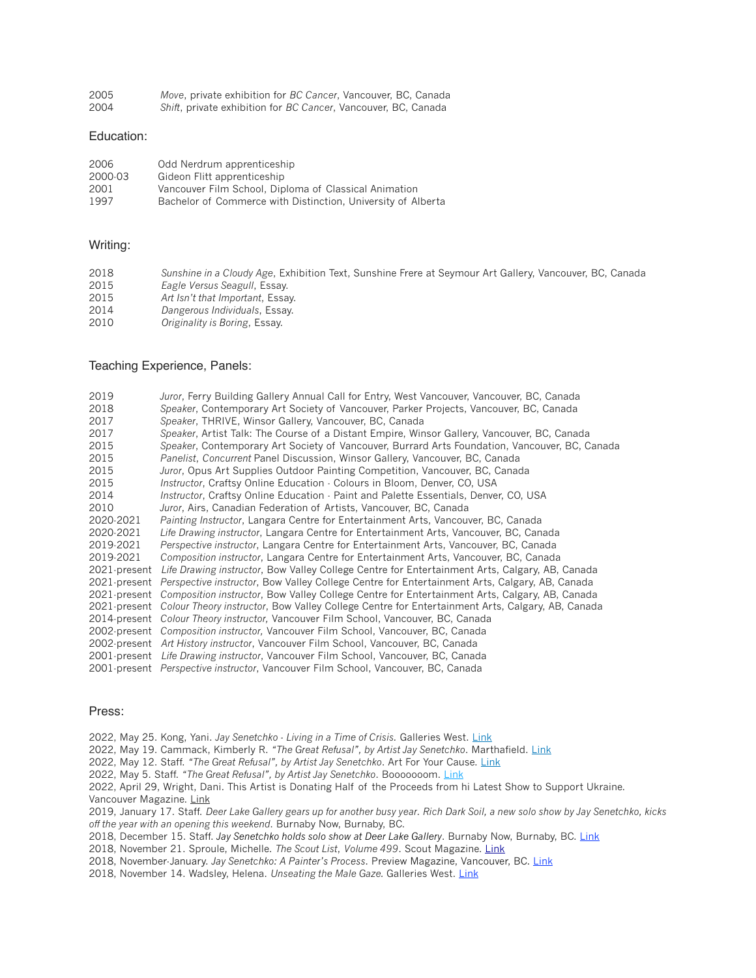| 2005 | Move, private exhibition for BC Cancer, Vancouver, BC, Canada  |
|------|----------------------------------------------------------------|
| 2004 | Shift, private exhibition for BC Cancer, Vancouver, BC, Canada |

#### Education:

| 2006    | Odd Nerdrum apprenticeship                                   |
|---------|--------------------------------------------------------------|
| 2000-03 | Gideon Flitt apprenticeship                                  |
| 2001    | Vancouver Film School, Diploma of Classical Animation        |
| 1997    | Bachelor of Commerce with Distinction, University of Alberta |

## Writing:

| 2018 | Sunshine in a Cloudy Age, Exhibition Text, Sunshine Frere at Seymour Art Gallery, Vancouver, BC, Canada |
|------|---------------------------------------------------------------------------------------------------------|
| 2015 | Eagle Versus Seagull, Essay.                                                                            |
| 2015 | Art Isn't that Important, Essay.                                                                        |
| 2014 | Dangerous Individuals, Essay.                                                                           |
| 2010 | Originality is Boring, Essay                                                                            |

## Teaching Experience, Panels:

| 2019         | Juror, Ferry Building Gallery Annual Call for Entry, West Vancouver, Vancouver, BC, Canada                   |
|--------------|--------------------------------------------------------------------------------------------------------------|
| 2018         | Speaker, Contemporary Art Society of Vancouver, Parker Projects, Vancouver, BC, Canada                       |
| 2017         | Speaker, THRIVE, Winsor Gallery, Vancouver, BC, Canada                                                       |
| 2017         | Speaker, Artist Talk: The Course of a Distant Empire, Winsor Gallery, Vancouver, BC, Canada                  |
| 2015         | Speaker, Contemporary Art Society of Vancouver, Burrard Arts Foundation, Vancouver, BC, Canada               |
| 2015         | Panelist, Concurrent Panel Discussion, Winsor Gallery, Vancouver, BC, Canada                                 |
| 2015         | Juror, Opus Art Supplies Outdoor Painting Competition, Vancouver, BC, Canada                                 |
| 2015         | <i>Instructor, Craftsy Online Education - Colours in Bloom, Denver, CO, USA</i>                              |
| 2014         | Instructor, Craftsy Online Education - Paint and Palette Essentials, Denver, CO, USA                         |
| 2010         | Juror, Airs, Canadian Federation of Artists, Vancouver, BC, Canada                                           |
| 2020-2021    | <i>Painting Instructor, Langara Centre for Entertainment Arts, Vancouver, BC, Canada</i>                     |
| 2020-2021    | Life Drawing instructor, Langara Centre for Entertainment Arts, Vancouver, BC, Canada                        |
| 2019-2021    | Perspective instructor, Langara Centre for Entertainment Arts, Vancouver, BC, Canada                         |
| 2019-2021    | Composition instructor, Langara Centre for Entertainment Arts, Vancouver, BC, Canada                         |
| 2021-present | Life Drawing instructor, Bow Valley College Centre for Entertainment Arts, Calgary, AB, Canada               |
|              | 2021 present Perspective instructor, Bow Valley College Centre for Entertainment Arts, Calgary, AB, Canada   |
|              | 2021 present Composition instructor, Bow Valley College Centre for Entertainment Arts, Calgary, AB, Canada   |
|              | 2021 present Colour Theory instructor, Bow Valley College Centre for Entertainment Arts, Calgary, AB, Canada |
|              | 2014 present Colour Theory instructor, Vancouver Film School, Vancouver, BC, Canada                          |
|              | 2002-present Composition instructor, Vancouver Film School, Vancouver, BC, Canada                            |
|              | 2002-present Art History instructor, Vancouver Film School, Vancouver, BC, Canada                            |
|              | 2001 present Life Drawing instructor, Vancouver Film School, Vancouver, BC, Canada                           |
|              | 2001 present <i>Perspective instructor</i> , Vancouver Film School, Vancouver, BC, Canada                    |
|              |                                                                                                              |

#### Press:

2022, May 25. Kong, Yani. *Jay Senetchko - Living in a Time of Crisis.* Galleries West. [Link](https://www.gallerieswest.ca/magazine/stories/jay-senetchko/)

2022, May 19. Cammack, Kimberly R. *"The Great Refusal", by Artist Jay Senetchko*. Marthafield. [Link](https://marthafied.com/the-great-refusal-by-artist-jay-senetchko.html)

2022, May 12. Staff. *"The Great Refusal", by Artist Jay Senetchko*. Art For Your Cause. [Link](https://news.afyc.com/the-great-refusal-by-artist-jay-senetchko-2/)

2022, May 5. Staff. *"The Great Refusal", by Artist Jay Senetchko*. Booooooom. [Link](https://www.booooooom.com/2022/05/12/the-great-refusal-by-artist-jay-senetchko/)

2022, April 29, Wright, Dani. This Artist is Donating Half of the Proceeds from hi Latest Show to Support Ukraine. Vancouver Magazine. [Link](https://www.vanmag.com/Jay-Senetchkos-The-Great-Refusal-is-a-Great-Way-To-Support-Ukraine)

2019, January 17. Staff. *Deer Lake Gallery gears up for another busy year. Rich Dark Soil, a new solo show by Jay Senetchko, kicks off the year with an opening this weekend*. Burnaby Now, Burnaby, BC.

2018, December 15. Staff. *Jay Senetchko holds solo show at Deer Lake Gallery*. Burnaby Now, Burnaby, BC. [Link](https://www.burnabynow.com/entertainment/jay-senetchko-holds-solo-show-at-deer-lake-gallery-1.23527148) 

2018, November 21. Sproule, Michelle. *The Scout List*, *Volume 499*. Scout Magazine. [Link](http://scoutmagazine.ca/2018/11/21/scout-list-vol-499/)

2018, November-January. *Jay Senetchko: A Painter's Process*. Preview Magazine, Vancouver, BC. [Link](http://preview-art.com/events/jay-senetchko-a-painters-process/)

2018, November 14. Wadsley, Helena. *Unseating the Male Gaze.* Galleries West. [Link](http://www.gallerieswest.ca/magazine/stories/unseating-the-male-gaze/)